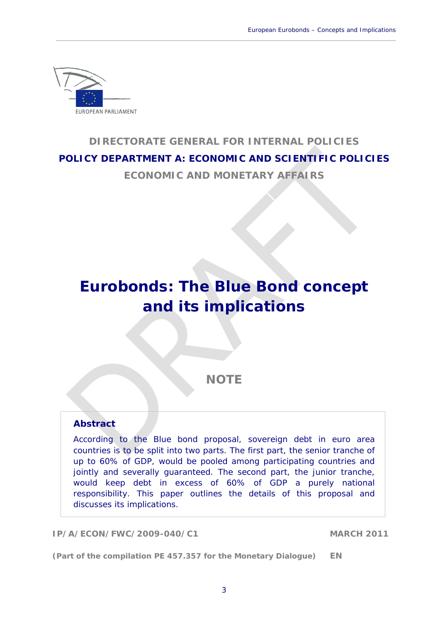

# **DIRECTORATE GENERAL FOR INTERNAL POLICIES POLICY DEPARTMENT A: ECONOMIC AND SCIENTIFIC POLICIES**

 $\_$  , and the set of the set of the set of the set of the set of the set of the set of the set of the set of the set of the set of the set of the set of the set of the set of the set of the set of the set of the set of th

**ECONOMIC AND MONETARY AFFAIRS** 

# **Eurobonds: The Blue Bond concept and its implications**

**NOTE** 

# **Abstract**

According to the Blue bond proposal, sovereign debt in euro area countries is to be split into two parts. The first part, the senior tranche of up to 60% of GDP, would be pooled among participating countries and jointly and severally guaranteed. The second part, the junior tranche, would keep debt in excess of 60% of GDP a purely national responsibility. This paper outlines the details of this proposal and discusses its implications.

**IP/A/ECON/FWC/2009-040/C1 MARCH 2011** 

**(Part of the compilation PE 457.357 for the Monetary Dialogue) EN**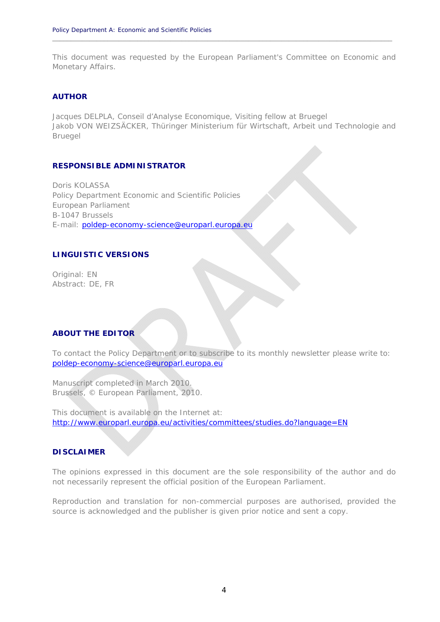This document was requested by the European Parliament's Committee on Economic and Monetary Affairs.

**\_\_\_\_\_\_\_\_\_\_\_\_\_\_\_\_\_\_\_\_\_\_\_\_\_\_\_\_\_\_\_\_\_\_\_\_\_\_\_\_\_\_\_\_\_\_\_\_\_\_\_\_\_\_\_\_\_\_\_\_\_\_\_\_\_\_\_\_\_\_\_\_\_\_\_\_\_\_\_\_\_\_\_\_\_\_\_\_\_\_\_\_**

#### **AUTHOR**

Jacques DELPLA, Conseil d'Analyse Economique, Visiting fellow at Bruegel Jakob VON WEIZSÄCKER, Thüringer Ministerium für Wirtschaft, Arbeit und Technologie and Bruegel

#### **RESPONSIBLE ADMINISTRATOR**

Doris KOLASSA Policy Department Economic and Scientific Policies European Parliament B-1047 Brussels E-mail: poldep-economy-science@europarl.europa.eu

### **LINGUISTIC VERSIONS**

Original: EN Abstract: DE, FR

#### **ABOUT THE EDITOR**

To contact the Policy Department or to subscribe to its monthly newsletter please write to: poldep-economy-science@europarl.europa.eu

Manuscript completed in March 2010. Brussels, © European Parliament, 2010.

This document is available on the Internet at: http://www.europarl.europa.eu/activities/committees/studies.do?language=EN

#### **DISCLAIMER**

The opinions expressed in this document are the sole responsibility of the author and do not necessarily represent the official position of the European Parliament.

Reproduction and translation for non-commercial purposes are authorised, provided the source is acknowledged and the publisher is given prior notice and sent a copy.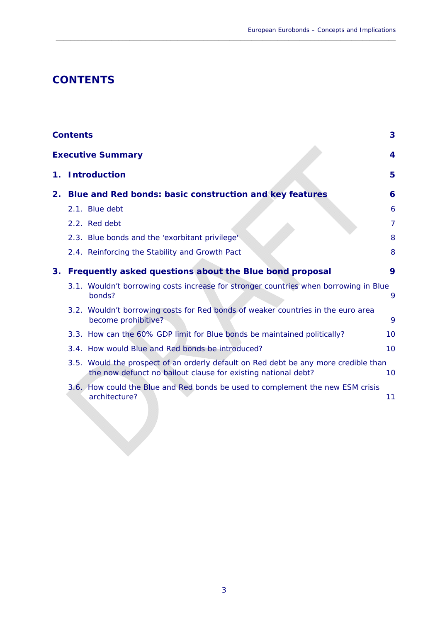# **CONTENTS**

|                          | <b>Contents</b>                                                                                                                                      | 3              |
|--------------------------|------------------------------------------------------------------------------------------------------------------------------------------------------|----------------|
| <b>Executive Summary</b> |                                                                                                                                                      | 4              |
| 1.                       | <b>Introduction</b>                                                                                                                                  | 5              |
| 2.                       | Blue and Red bonds: basic construction and key features                                                                                              | 6              |
|                          | 2.1. Blue debt                                                                                                                                       | 6              |
|                          | 2.2. Red debt                                                                                                                                        | $\overline{7}$ |
|                          | 2.3. Blue bonds and the 'exorbitant privilege'                                                                                                       | 8              |
|                          | 2.4. Reinforcing the Stability and Growth Pact                                                                                                       | 8              |
| 3.                       | Frequently asked questions about the Blue bond proposal                                                                                              | 9              |
|                          | 3.1. Wouldn't borrowing costs increase for stronger countries when borrowing in Blue<br>bonds?                                                       | 9              |
|                          | 3.2. Wouldn't borrowing costs for Red bonds of weaker countries in the euro area<br>become prohibitive?                                              | 9              |
|                          | 3.3. How can the 60% GDP limit for Blue bonds be maintained politically?                                                                             | 10             |
|                          | 3.4. How would Blue and Red bonds be introduced?                                                                                                     | 10             |
|                          | 3.5. Would the prospect of an orderly default on Red debt be any more credible than<br>the now defunct no bailout clause for existing national debt? | 10             |
|                          | 3.6. How could the Blue and Red bonds be used to complement the new ESM crisis<br>architecture?                                                      | 11             |

 $\_$  , and the set of the set of the set of the set of the set of the set of the set of the set of the set of the set of the set of the set of the set of the set of the set of the set of the set of the set of the set of th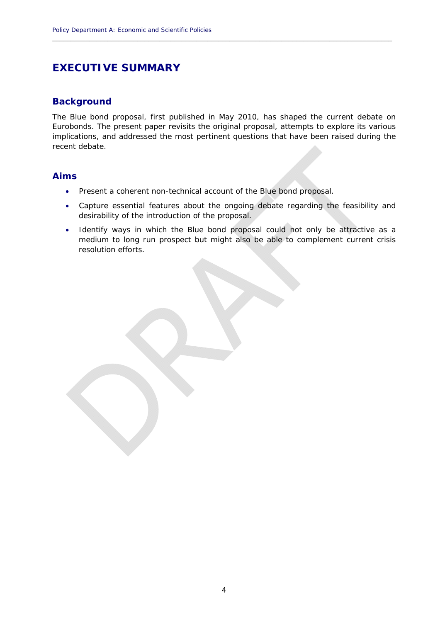# **EXECUTIVE SUMMARY**

### **Background**

The Blue bond proposal, first published in May 2010, has shaped the current debate on Eurobonds. The present paper revisits the original proposal, attempts to explore its various implications, and addressed the most pertinent questions that have been raised during the recent debate.

**\_\_\_\_\_\_\_\_\_\_\_\_\_\_\_\_\_\_\_\_\_\_\_\_\_\_\_\_\_\_\_\_\_\_\_\_\_\_\_\_\_\_\_\_\_\_\_\_\_\_\_\_\_\_\_\_\_\_\_\_\_\_\_\_\_\_\_\_\_\_\_\_\_\_\_\_\_\_\_\_\_\_\_\_\_\_\_\_\_\_\_\_**

### **Aims**

- Present a coherent non-technical account of the Blue bond proposal.
- Capture essential features about the ongoing debate regarding the feasibility and desirability of the introduction of the proposal.
- Identify ways in which the Blue bond proposal could not only be attractive as a medium to long run prospect but might also be able to complement current crisis resolution efforts.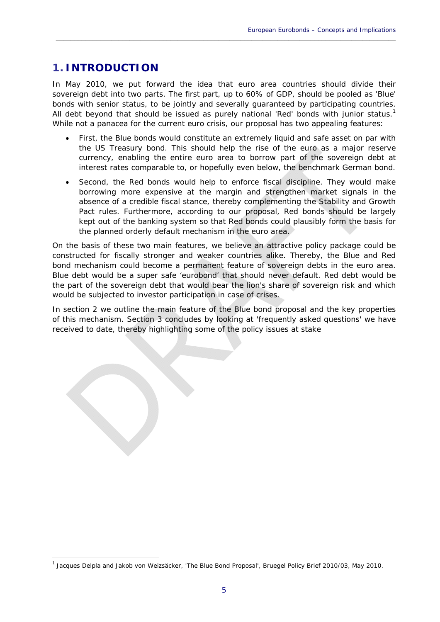# **1. INTRODUCTION**

1

In May 2010, we put forward the idea that euro area countries should divide their sovereign debt into two parts. The first part, up to 60% of GDP, should be pooled as 'Blue' bonds with senior status, to be jointly and severally guaranteed by participating countries. All debt beyond that should be issued as purely national 'Red' bonds with junior status.<sup>1</sup> While not a panacea for the current euro crisis, our proposal has two appealing features:

 $\_$  , and the set of the set of the set of the set of the set of the set of the set of the set of the set of the set of the set of the set of the set of the set of the set of the set of the set of the set of the set of th

- First, the Blue bonds would constitute an extremely liquid and safe asset on par with the US Treasury bond. This should help the rise of the euro as a major reserve currency, enabling the entire euro area to borrow part of the sovereign debt at interest rates comparable to, or hopefully even below, the benchmark German bond.
- Second, the Red bonds would help to enforce fiscal discipline. They would make borrowing more expensive at the margin and strengthen market signals in the absence of a credible fiscal stance, thereby complementing the Stability and Growth Pact rules. Furthermore, according to our proposal, Red bonds should be largely kept out of the banking system so that Red bonds could plausibly form the basis for the planned orderly default mechanism in the euro area.

On the basis of these two main features, we believe an attractive policy package could be constructed for fiscally stronger and weaker countries alike. Thereby, the Blue and Red bond mechanism could become a permanent feature of sovereign debts in the euro area. Blue debt would be a super safe 'eurobond' that should never default. Red debt would be the part of the sovereign debt that would bear the lion's share of sovereign risk and which would be subjected to investor participation in case of crises.

In section 2 we outline the main feature of the Blue bond proposal and the key properties of this mechanism. Section 3 concludes by looking at 'frequently asked questions' we have received to date, thereby highlighting some of the policy issues at stake

<sup>1</sup> Jacques Delpla and Jakob von Weizsäcker, 'The Blue Bond Proposal', Bruegel *Policy Brief* 2010/03, May 2010.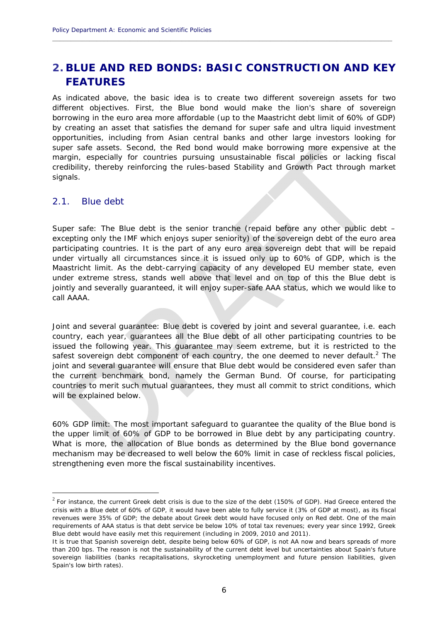# **2. BLUE AND RED BONDS: BASIC CONSTRUCTION AND KEY FEATURES**

**\_\_\_\_\_\_\_\_\_\_\_\_\_\_\_\_\_\_\_\_\_\_\_\_\_\_\_\_\_\_\_\_\_\_\_\_\_\_\_\_\_\_\_\_\_\_\_\_\_\_\_\_\_\_\_\_\_\_\_\_\_\_\_\_\_\_\_\_\_\_\_\_\_\_\_\_\_\_\_\_\_\_\_\_\_\_\_\_\_\_\_\_**

As indicated above, the basic idea is to create two different sovereign assets for two different objectives. First, the Blue bond would make the lion's share of sovereign borrowing in the euro area more affordable (up to the Maastricht debt limit of 60% of GDP) by creating an asset that satisfies the demand for super safe and ultra liquid investment opportunities, including from Asian central banks and other large investors looking for super safe assets. Second, the Red bond would make borrowing more expensive at the margin, especially for countries pursuing unsustainable fiscal policies or lacking fiscal credibility, thereby reinforcing the rules-based Stability and Growth Pact through market signals.

#### 2.1. Blue debt

1

*Super safe*: The Blue debt is the senior tranche (repaid before any other public debt – excepting only the IMF which enjoys super seniority) of the sovereign debt of the euro area participating countries. It is the part of any euro area sovereign debt that will be repaid under virtually all circumstances since it is issued only up to 60% of GDP, which is the Maastricht limit. As the debt-carrying capacity of any developed EU member state, even under extreme stress, stands well above that level and on top of this the Blue debt is jointly and severally guaranteed, it will enjoy super-safe AAA status, which we would like to call AAAA.

*Joint and several guarantee:* Blue debt is covered by joint and several guarantee, i.e. each country, each year, guarantees all the Blue debt of all other participating countries to be issued the following year. This guarantee may seem extreme, but it is restricted to the safest sovereign debt component of each country, the one deemed to never default.<sup>2</sup> The joint and several guarantee will ensure that Blue debt would be considered even safer than the current benchmark bond, namely the German Bund. Of course, for participating countries to merit such mutual guarantees, they must all commit to strict conditions, which will be explained below.

*60% GDP limit*: The most important safeguard to guarantee the quality of the Blue bond is the upper limit of 60% of GDP to be borrowed in Blue debt by any participating country. What is more, the allocation of Blue bonds as determined by the Blue bond governance mechanism may be decreased to well below the 60% limit in case of reckless fiscal policies, strengthening even more the fiscal sustainability incentives.

 $2$  For instance, the current Greek debt crisis is due to the size of the debt (150% of GDP). Had Greece entered the crisis with a Blue debt of 60% of GDP, it would have been able to fully service it (3% of GDP at most), as its fiscal revenues were 35% of GDP; the debate about Greek debt would have focused only on Red debt. One of the main requirements of AAA status is that debt service be below 10% of total tax revenues; every year since 1992, Greek Blue debt would have easily met this requirement (including in 2009, 2010 and 2011).

It is true that Spanish sovereign debt, despite being below 60% of GDP, is not AA now and bears spreads of more than 200 bps. The reason is not the sustainability of the current debt level but uncertainties about Spain's future sovereign liabilities (banks recapitalisations, skyrocketing unemployment and future pension liabilities, given Spain's low birth rates).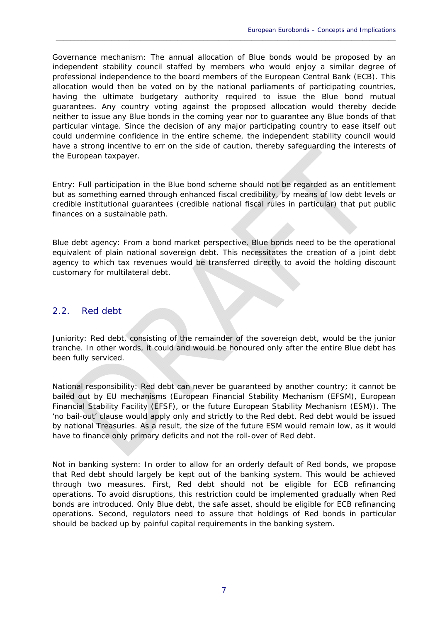*Governance mechanism*: The annual allocation of Blue bonds would be proposed by an independent stability council staffed by members who would enjoy a similar degree of professional independence to the board members of the European Central Bank (ECB). This allocation would then be voted on by the national parliaments of participating countries, having the ultimate budgetary authority required to issue the Blue bond mutual guarantees. Any country voting against the proposed allocation would thereby decide neither to issue any Blue bonds in the coming year nor to guarantee any Blue bonds of that particular vintage. Since the decision of any major participating country to ease itself out could undermine confidence in the entire scheme, the independent stability council would have a strong incentive to err on the side of caution, thereby safeguarding the interests of the European taxpayer.

 $\_$  , and the set of the set of the set of the set of the set of the set of the set of the set of the set of the set of the set of the set of the set of the set of the set of the set of the set of the set of the set of th

*Entry*: Full participation in the Blue bond scheme should not be regarded as an entitlement but as something earned through enhanced fiscal credibility, by means of low debt levels or credible institutional guarantees (credible national fiscal rules in particular) that put public finances on a sustainable path.

*Blue debt agency:* From a bond market perspective, Blue bonds need to be the operational equivalent of plain national sovereign debt. This necessitates the creation of a joint debt agency to which tax revenues would be transferred directly to avoid the holding discount customary for multilateral debt.

### 2.2. Red debt

*Juniority:* Red debt, consisting of the remainder of the sovereign debt, would be the junior tranche. In other words, it could and would be honoured only after the entire Blue debt has been fully serviced.

*National responsibility*: Red debt can never be guaranteed by another country; it cannot be bailed out by EU mechanisms (European Financial Stability Mechanism (EFSM), European Financial Stability Facility (EFSF), or the future European Stability Mechanism (ESM)). The 'no bail-out' clause would apply only and strictly to the Red debt. Red debt would be issued by national Treasuries. As a result, the size of the future ESM would remain low, as it would have to finance only primary deficits and not the roll-over of Red debt.

*Not in banking system:* In order to allow for an orderly default of Red bonds, we propose that Red debt should largely be kept out of the banking system. This would be achieved through two measures. First, Red debt should not be eligible for ECB refinancing operations. To avoid disruptions, this restriction could be implemented gradually when Red bonds are introduced. Only Blue debt, the safe asset, should be eligible for ECB refinancing operations. Second, regulators need to assure that holdings of Red bonds in particular should be backed up by painful capital requirements in the banking system.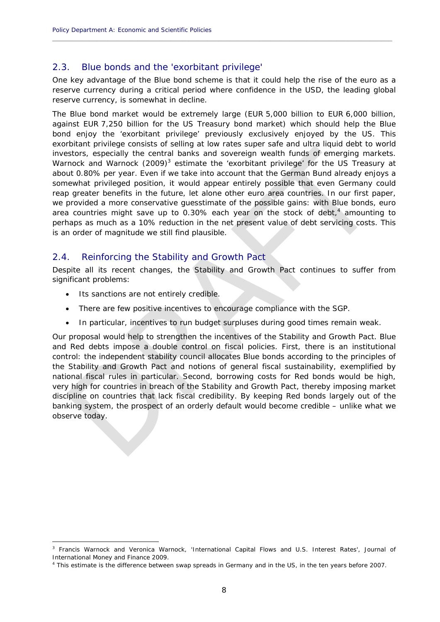## 2.3. Blue bonds and the 'exorbitant privilege'

One key advantage of the Blue bond scheme is that it could help the rise of the euro as a reserve currency during a critical period where confidence in the USD, the leading global reserve currency, is somewhat in decline.

**\_\_\_\_\_\_\_\_\_\_\_\_\_\_\_\_\_\_\_\_\_\_\_\_\_\_\_\_\_\_\_\_\_\_\_\_\_\_\_\_\_\_\_\_\_\_\_\_\_\_\_\_\_\_\_\_\_\_\_\_\_\_\_\_\_\_\_\_\_\_\_\_\_\_\_\_\_\_\_\_\_\_\_\_\_\_\_\_\_\_\_\_**

The Blue bond market would be extremely large (EUR 5,000 billion to EUR 6,000 billion, against EUR 7,250 billion for the US Treasury bond market) which should help the Blue bond enjoy the 'exorbitant privilege' previously exclusively enjoyed by the US. This exorbitant privilege consists of selling at low rates super safe and ultra liquid debt to world investors, especially the central banks and sovereign wealth funds of emerging markets. Warnock and Warnock  $(2009)^3$  estimate the 'exorbitant privilege' for the US Treasury at about 0.80% per year. Even if we take into account that the German Bund already enjoys a somewhat privileged position, it would appear entirely possible that even Germany could reap greater benefits in the future, let alone other euro area countries. In our first paper, we provided a more conservative guesstimate of the possible gains: with Blue bonds, euro area countries might save up to 0.30% each year on the stock of debt, $<sup>4</sup>$  amounting to</sup> perhaps as much as a 10% reduction in the net present value of debt servicing costs. This is an order of magnitude we still find plausible.

## 2.4. Reinforcing the Stability and Growth Pact

Despite all its recent changes, the Stability and Growth Pact continues to suffer from significant problems:

Its sanctions are not entirely credible.

1

- There are few positive incentives to encourage compliance with the SGP.
- In particular, incentives to run budget surpluses during good times remain weak.

Our proposal would help to strengthen the incentives of the Stability and Growth Pact. Blue and Red debts impose a double control on fiscal policies. First, there is an institutional control: the independent stability council allocates Blue bonds according to the principles of the Stability and Growth Pact and notions of general fiscal sustainability, exemplified by national fiscal rules in particular. Second, borrowing costs for Red bonds would be high, very high for countries in breach of the Stability and Growth Pact, thereby imposing market discipline on countries that lack fiscal credibility. By keeping Red bonds largely out of the banking system, the prospect of an orderly default would become credible – unlike what we observe today.

<sup>3</sup> Francis Warnock and Veronica Warnock, 'International Capital Flows and U.S. Interest Rates', *Journal of*  **International Money and Finance 2009.** 

This estimate is the difference between swap spreads in Germany and in the US, in the ten years before 2007.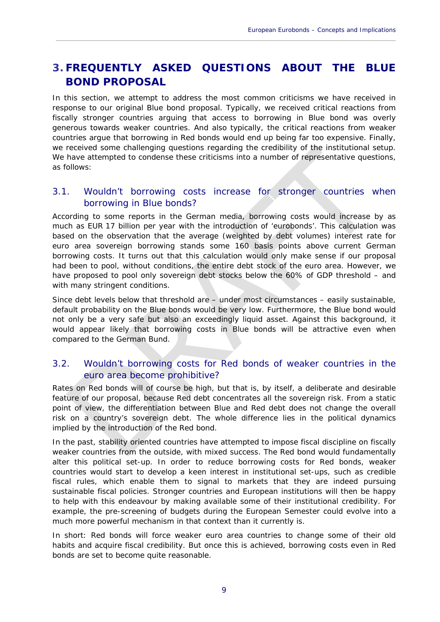# **3. FREQUENTLY ASKED QUESTIONS ABOUT THE BLUE BOND PROPOSAL**

 $\_$  , and the set of the set of the set of the set of the set of the set of the set of the set of the set of the set of the set of the set of the set of the set of the set of the set of the set of the set of the set of th

In this section, we attempt to address the most common criticisms we have received in response to our original Blue bond proposal. Typically, we received critical reactions from fiscally stronger countries arguing that access to borrowing in Blue bond was overly generous towards weaker countries. And also typically, the critical reactions from weaker countries argue that borrowing in Red bonds would end up being far too expensive. Finally, we received some challenging questions regarding the credibility of the institutional setup. We have attempted to condense these criticisms into a number of representative questions, as follows:

## 3.1. Wouldn't borrowing costs increase for stronger countries when borrowing in Blue bonds?

According to some reports in the German media, borrowing costs would increase by as much as EUR 17 billion per year with the introduction of 'eurobonds'. This calculation was based on the observation that the average (weighted by debt volumes) interest rate for euro area sovereign borrowing stands some 160 basis points above current German borrowing costs. It turns out that this calculation would only make sense if our proposal had been to pool, without conditions, the entire debt stock of the euro area. However, we have proposed to pool only sovereign debt stocks below the 60% of GDP threshold – and with many stringent conditions.

Since debt levels below that threshold are – under most circumstances – easily sustainable, default probability on the Blue bonds would be very low. Furthermore, the Blue bond would not only be a very safe but also an exceedingly liquid asset. Against this background, it would appear likely that borrowing costs in Blue bonds will be attractive even when compared to the German Bund.

## 3.2. Wouldn't borrowing costs for Red bonds of weaker countries in the euro area become prohibitive?

Rates on Red bonds will of course be high, but that is, by itself, a deliberate and desirable feature of our proposal, because Red debt concentrates all the sovereign risk. From a static point of view, the differentiation between Blue and Red debt does not change the overall risk on a country's sovereign debt. The whole difference lies in the political dynamics implied by the introduction of the Red bond.

In the past, stability oriented countries have attempted to impose fiscal discipline on fiscally weaker countries from the outside, with mixed success. The Red bond would fundamentally alter this political set-up. In order to reduce borrowing costs for Red bonds, weaker countries would start to develop a keen interest in institutional set-ups, such as credible fiscal rules, which enable them to signal to markets that they are indeed pursuing sustainable fiscal policies. Stronger countries and European institutions will then be happy to help with this endeavour by making available some of their institutional credibility. For example, the pre-screening of budgets during the European Semester could evolve into a much more powerful mechanism in that context than it currently is.

In short: Red bonds will force weaker euro area countries to change some of their old habits and acquire fiscal credibility. But once this is achieved, borrowing costs even in Red bonds are set to become quite reasonable.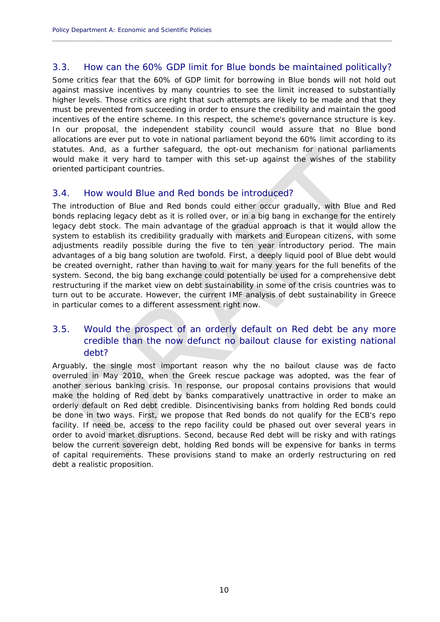## 3.3. How can the 60% GDP limit for Blue bonds be maintained politically?

**\_\_\_\_\_\_\_\_\_\_\_\_\_\_\_\_\_\_\_\_\_\_\_\_\_\_\_\_\_\_\_\_\_\_\_\_\_\_\_\_\_\_\_\_\_\_\_\_\_\_\_\_\_\_\_\_\_\_\_\_\_\_\_\_\_\_\_\_\_\_\_\_\_\_\_\_\_\_\_\_\_\_\_\_\_\_\_\_\_\_\_\_**

Some critics fear that the 60% of GDP limit for borrowing in Blue bonds will not hold out against massive incentives by many countries to see the limit increased to substantially higher levels. Those critics are right that such attempts are likely to be made and that they must be prevented from succeeding in order to ensure the credibility and maintain the good incentives of the entire scheme. In this respect, the scheme's governance structure is key. In our proposal, the independent stability council would assure that no Blue bond allocations are ever put to vote in national parliament beyond the 60% limit according to its statutes. And, as a further safeguard, the opt-out mechanism for national parliaments would make it very hard to tamper with this set-up against the wishes of the stability oriented participant countries.

### 3.4. How would Blue and Red bonds be introduced?

The introduction of Blue and Red bonds could either occur gradually, with Blue and Red bonds replacing legacy debt as it is rolled over, or in a big bang in exchange for the entirely legacy debt stock. The main advantage of the gradual approach is that it would allow the system to establish its credibility gradually with markets and European citizens, with some adjustments readily possible during the five to ten year introductory period. The main advantages of a big bang solution are twofold. First, a deeply liquid pool of Blue debt would be created overnight, rather than having to wait for many years for the full benefits of the system. Second, the big bang exchange could potentially be used for a comprehensive debt restructuring if the market view on debt sustainability in some of the crisis countries was to turn out to be accurate. However, the current IMF analysis of debt sustainability in Greece in particular comes to a different assessment right now.

# 3.5. Would the prospect of an orderly default on Red debt be any more credible than the now defunct no bailout clause for existing national debt?

Arguably, the single most important reason why the no bailout clause was *de facto* overruled in May 2010, when the Greek rescue package was adopted, was the fear of another serious banking crisis. In response, our proposal contains provisions that would make the holding of Red debt by banks comparatively unattractive in order to make an orderly default on Red debt credible. Disincentivising banks from holding Red bonds could be done in two ways. First, we propose that Red bonds do not qualify for the ECB's repo facility. If need be, access to the repo facility could be phased out over several years in order to avoid market disruptions. Second, because Red debt will be risky and with ratings below the current sovereign debt, holding Red bonds will be expensive for banks in terms of capital requirements. These provisions stand to make an orderly restructuring on red debt a realistic proposition.